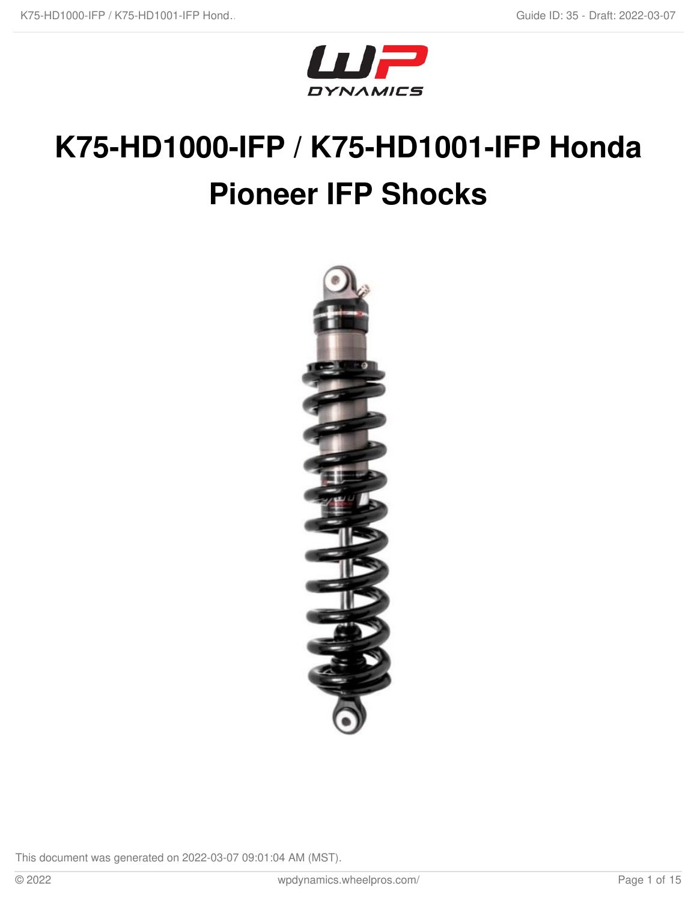

# **K75-HD1000-IFP / K75-HD1001-IFP Honda Pioneer IFP Shocks**

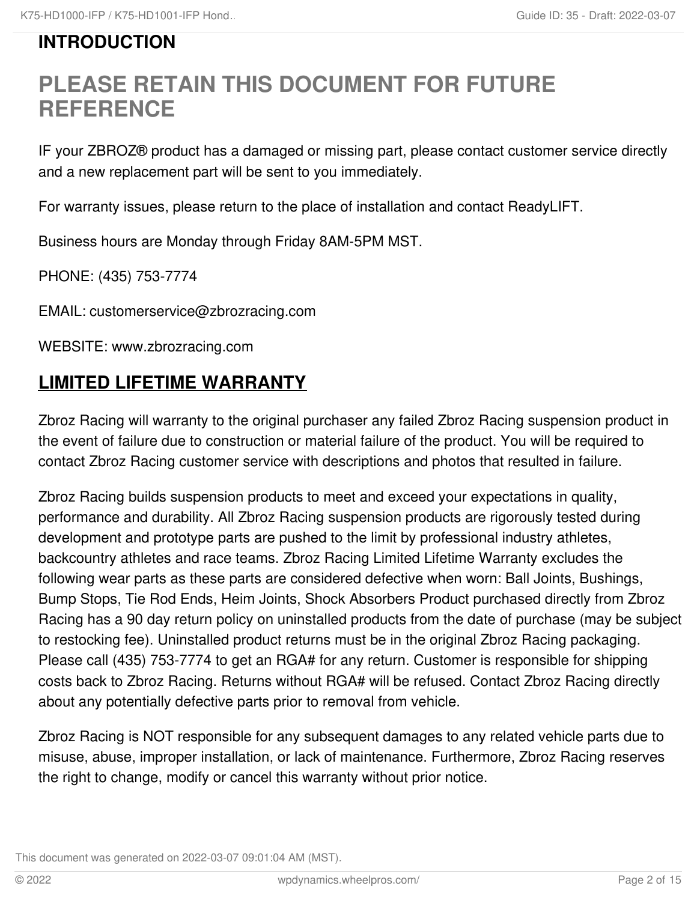# **INTRODUCTION**

# **PLEASE RETAIN THIS DOCUMENT FOR FUTURE REFERENCE**

IF your ZBROZ® product has a damaged or missing part, please contact customer service directly and a new replacement part will be sent to you immediately.

For warranty issues, please return to the place of installation and contact ReadyLIFT.

Business hours are Monday through Friday 8AM-5PM MST.

PHONE: (435) 753-7774

EMAIL: customerservice@zbrozracing.com

WEBSITE: www.zbrozracing.com

# **LIMITED LIFETIME WARRANTY**

Zbroz Racing will warranty to the original purchaser any failed Zbroz Racing suspension product in the event of failure due to construction or material failure of the product. You will be required to contact Zbroz Racing customer service with descriptions and photos that resulted in failure.

Zbroz Racing builds suspension products to meet and exceed your expectations in quality, performance and durability. All Zbroz Racing suspension products are rigorously tested during development and prototype parts are pushed to the limit by professional industry athletes, backcountry athletes and race teams. Zbroz Racing Limited Lifetime Warranty excludes the following wear parts as these parts are considered defective when worn: Ball Joints, Bushings, Bump Stops, Tie Rod Ends, Heim Joints, Shock Absorbers Product purchased directly from Zbroz Racing has a 90 day return policy on uninstalled products from the date of purchase (may be subject to restocking fee). Uninstalled product returns must be in the original Zbroz Racing packaging. Please call (435) 753-7774 to get an RGA# for any return. Customer is responsible for shipping costs back to Zbroz Racing. Returns without RGA# will be refused. Contact Zbroz Racing directly about any potentially defective parts prior to removal from vehicle.

Zbroz Racing is NOT responsible for any subsequent damages to any related vehicle parts due to misuse, abuse, improper installation, or lack of maintenance. Furthermore, Zbroz Racing reserves the right to change, modify or cancel this warranty without prior notice.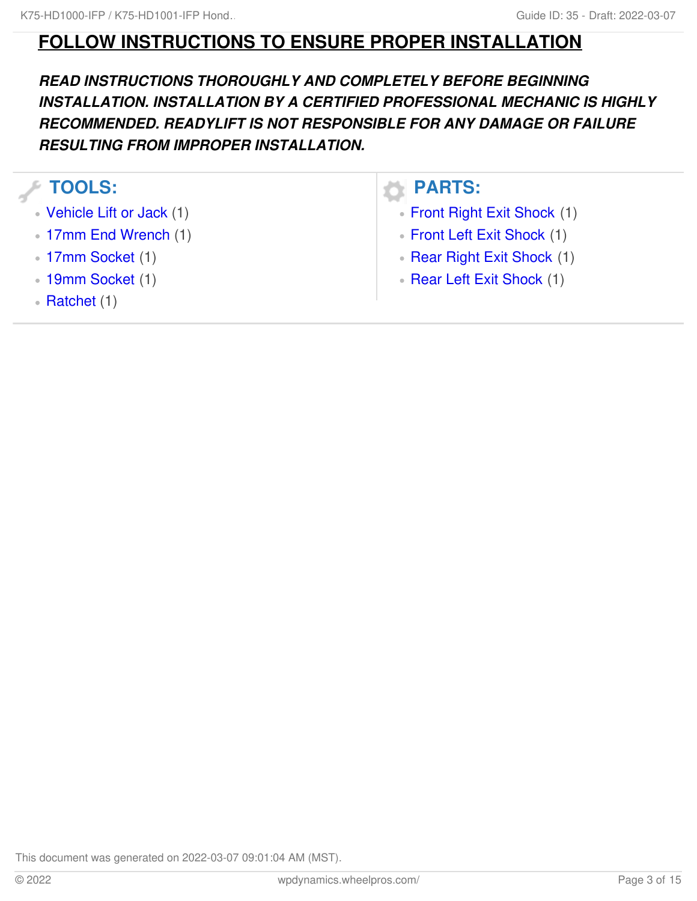# **FOLLOW INSTRUCTIONS TO ENSURE PROPER INSTALLATION**

*READ INSTRUCTIONS THOROUGHLY AND COMPLETELY BEFORE BEGINNING INSTALLATION. INSTALLATION BY A CERTIFIED PROFESSIONAL MECHANIC IS HIGHLY RECOMMENDED. READYLIFT IS NOT RESPONSIBLE FOR ANY DAMAGE OR FAILURE RESULTING FROM IMPROPER INSTALLATION.*

### **TOOLS:**

- [Vehicle](file:///Item/Vehicle_Lift_or_Jack) Lift or Jack (1)
- 17mm End [Wrench](file:///Item/17mm_End_Wrench) (1)
- 17mm [Socket](file:///Item/17mm_Socket) (1)
- 19mm [Socket](file:///Item/19mm_Socket) (1)
- [Ratchet](file:///Item/Ratchet) (1)

### **PARTS:**

- Front Right Exit [Shock](file:///Item/Front_Right_Exit_Shock) (1)
- Front Left Exit [Shock](file:///Item/Front_Left_Exit_Shock) (1)
- Rear Right Exit [Shock](file:///Item/Rear_Right_Exit_Shock) (1)
- Rear Left Exit [Shock](file:///Item/Rear_Left_Exit_Shock) (1)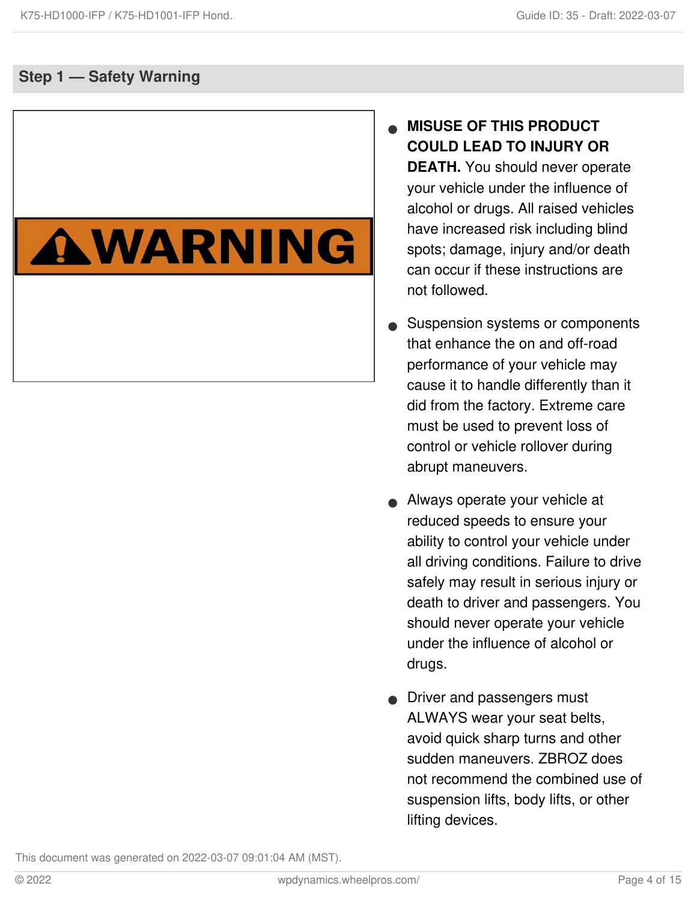### **Step 1 — Safety Warning**

# AWARNING

- **MISUSE OF THIS PRODUCT COULD LEAD TO INJURY OR DEATH.** You should never operate your vehicle under the influence of alcohol or drugs. All raised vehicles have increased risk including blind spots; damage, injury and/or death can occur if these instructions are not followed.  $\bullet$
- Suspension systems or components that enhance the on and off-road performance of your vehicle may cause it to handle differently than it did from the factory. Extreme care must be used to prevent loss of control or vehicle rollover during abrupt maneuvers.  $\bullet$
- Always operate your vehicle at reduced speeds to ensure your ability to control your vehicle under all driving conditions. Failure to drive safely may result in serious injury or death to driver and passengers. You should never operate your vehicle under the influence of alcohol or drugs.  $\bullet$
- **•** Driver and passengers must ALWAYS wear your seat belts, avoid quick sharp turns and other sudden maneuvers. ZBROZ does not recommend the combined use of suspension lifts, body lifts, or other lifting devices.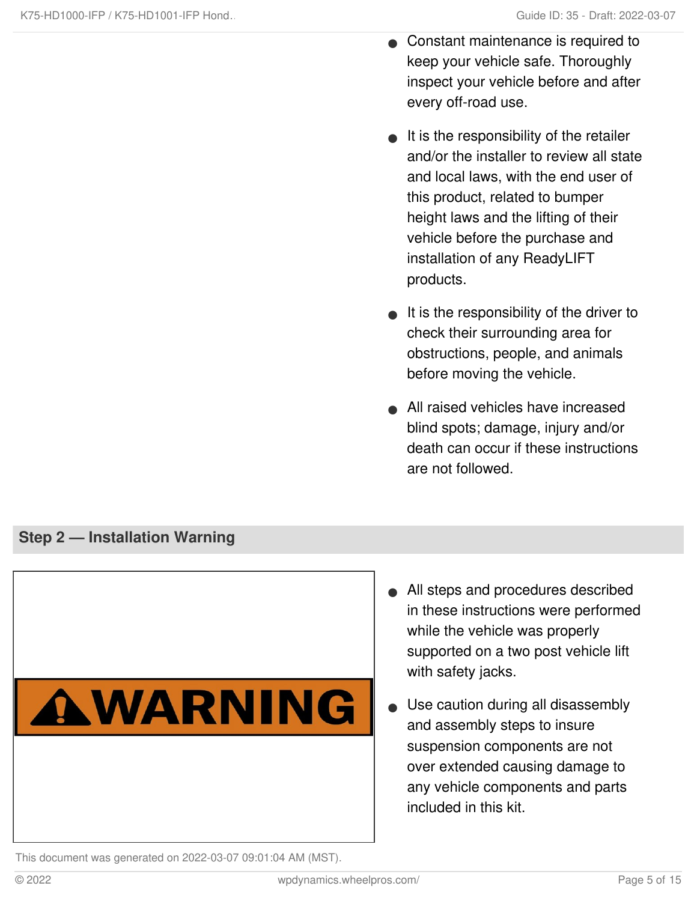- Constant maintenance is required to keep your vehicle safe. Thoroughly inspect your vehicle before and after every off-road use.  $\bullet$
- $\bullet$  It is the responsibility of the retailer and/or the installer to review all state and local laws, with the end user of this product, related to bumper height laws and the lifting of their vehicle before the purchase and installation of any ReadyLIFT products.
- $\bullet$  It is the responsibility of the driver to check their surrounding area for obstructions, people, and animals before moving the vehicle.
- All raised vehicles have increased blind spots; damage, injury and/or death can occur if these instructions are not followed.

#### **Step 2 — Installation Warning**



- All steps and procedures described in these instructions were performed while the vehicle was properly supported on a two post vehicle lift with safety jacks.
- Use caution during all disassembly and assembly steps to insure suspension components are not over extended causing damage to any vehicle components and parts included in this kit.  $\bullet$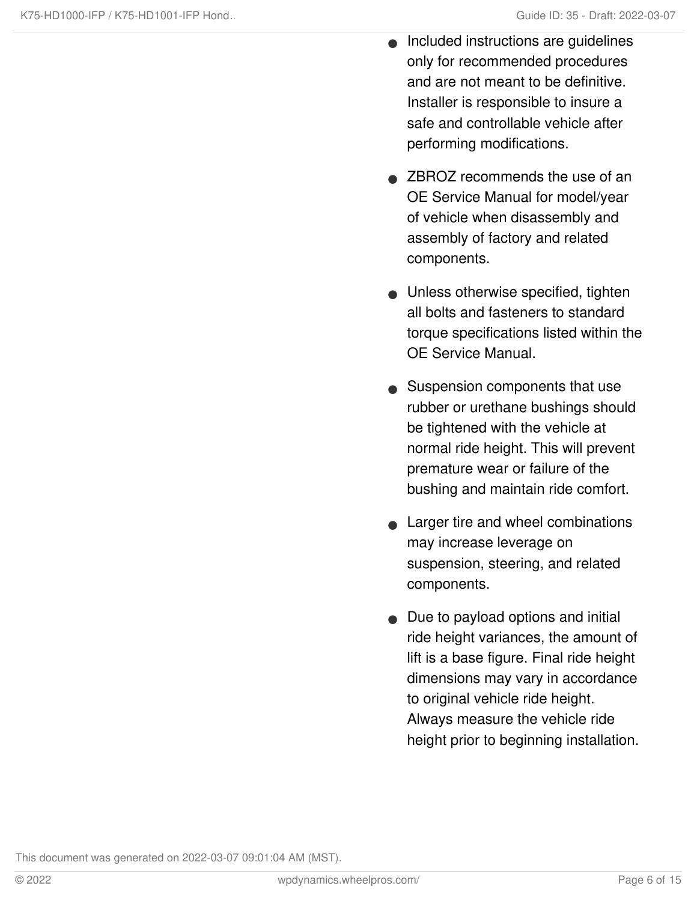- Included instructions are guidelines only for recommended procedures and are not meant to be definitive. Installer is responsible to insure a safe and controllable vehicle after performing modifications.  $\bullet$
- **ZBROZ recommends the use of an** OE Service Manual for model/year of vehicle when disassembly and assembly of factory and related components.
- Unless otherwise specified, tighten all bolts and fasteners to standard torque specifications listed within the OE Service Manual.
- Suspension components that use rubber or urethane bushings should be tightened with the vehicle at normal ride height. This will prevent premature wear or failure of the bushing and maintain ride comfort.
- Larger tire and wheel combinations may increase leverage on suspension, steering, and related components.  $\bullet$
- Due to payload options and initial ride height variances, the amount of lift is a base figure. Final ride height dimensions may vary in accordance to original vehicle ride height. Always measure the vehicle ride height prior to beginning installation.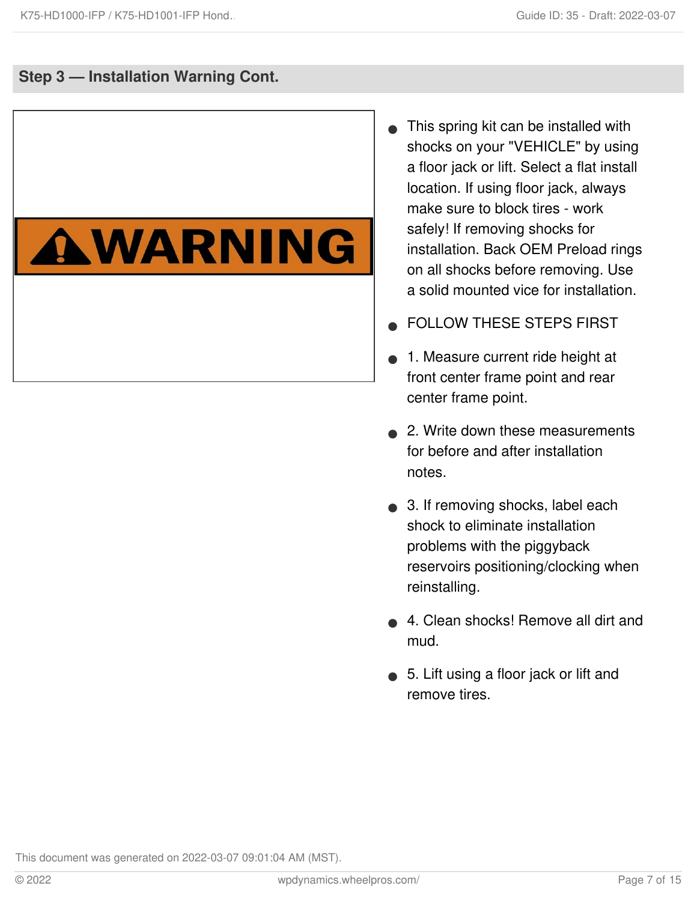### **Step 3 — Installation Warning Cont.**

# AWARNING

- This spring kit can be installed with shocks on your "VEHICLE" by using a floor jack or lift. Select a flat install location. If using floor jack, always make sure to block tires - work safely! If removing shocks for installation. Back OEM Preload rings on all shocks before removing. Use a solid mounted vice for installation.  $\bullet$
- FOLLOW THESE STEPS FIRST
- 1. Measure current ride height at front center frame point and rear center frame point.  $\bullet$
- **2. Write down these measurements** for before and after installation notes.
- 3. If removing shocks, label each shock to eliminate installation problems with the piggyback reservoirs positioning/clocking when reinstalling.
- 4. Clean shocks! Remove all dirt and mud.  $\bullet$
- 5. Lift using a floor jack or lift and remove tires.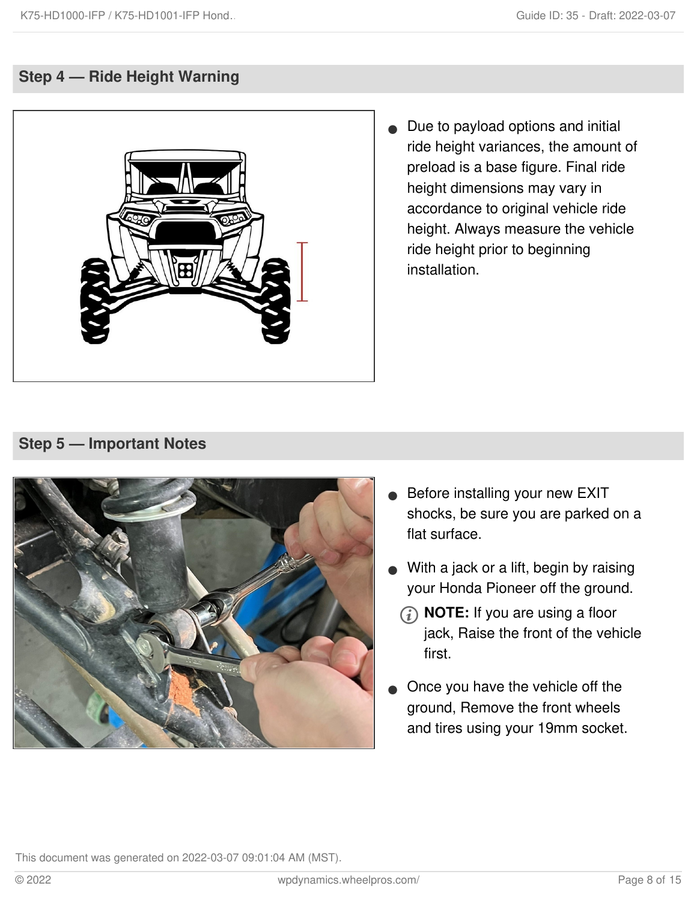### **Step 4 — Ride Height Warning**



Due to payload options and initial ride height variances, the amount of preload is a base figure. Final ride height dimensions may vary in accordance to original vehicle ride height. Always measure the vehicle ride height prior to beginning installation.  $\bullet$ 

### **Step 5 — Important Notes**



- Before installing your new EXIT shocks, be sure you are parked on a flat surface.  $\bullet$
- With a jack or a lift, begin by raising your Honda Pioneer off the ground.
	- **NOTE:** If you are using a floor jack, Raise the front of the vehicle first.
- Once you have the vehicle off the ground, Remove the front wheels and tires using your 19mm socket.  $\bullet$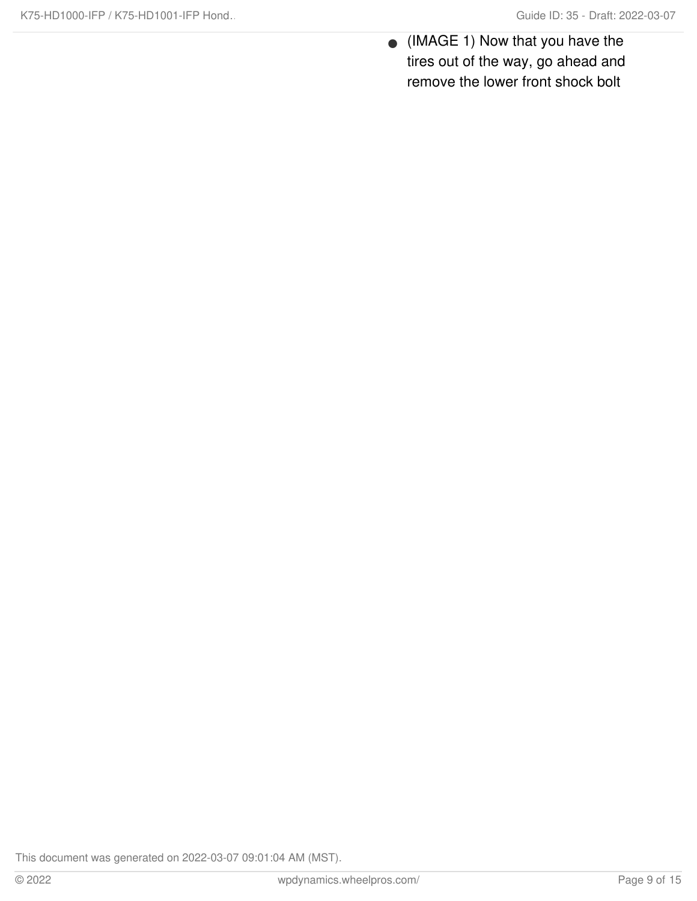(IMAGE 1) Now that you have the tires out of the way, go ahead and remove the lower front shock bolt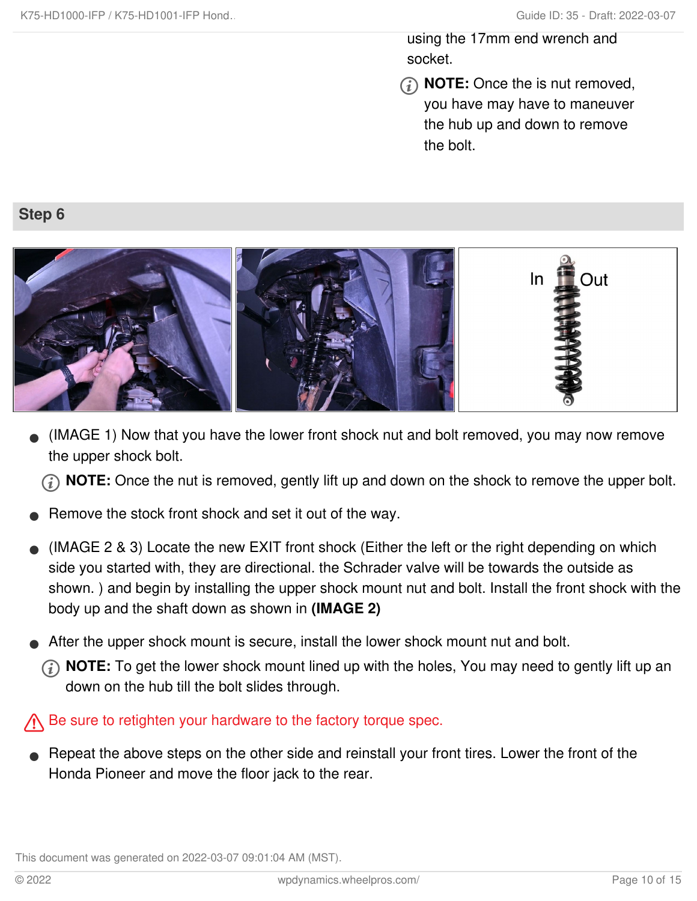using the 17mm end wrench and socket.

**NOTE:** Once the is nut removed, you have may have to maneuver the hub up and down to remove the bolt.

### **Step 6**



(IMAGE 1) Now that you have the lower front shock nut and bolt removed, you may now remove the upper shock bolt.  $\bullet$ 

**(i)** NOTE: Once the nut is removed, gently lift up and down on the shock to remove the upper bolt.

- Remove the stock front shock and set it out of the way.
- (IMAGE 2 & 3) Locate the new EXIT front shock (Either the left or the right depending on which side you started with, they are directional. the Schrader valve will be towards the outside as shown. ) and begin by installing the upper shock mount nut and bolt. Install the front shock with the body up and the shaft down as shown in **(IMAGE 2)**  $\bullet$
- After the upper shock mount is secure, install the lower shock mount nut and bolt.
	- **NOTE:** To get the lower shock mount lined up with the holes, You may need to gently lift up an down on the hub till the bolt slides through.

Be sure to retighten your hardware to the factory torque spec.

Repeat the above steps on the other side and reinstall your front tires. Lower the front of the Honda Pioneer and move the floor jack to the rear.  $\bullet$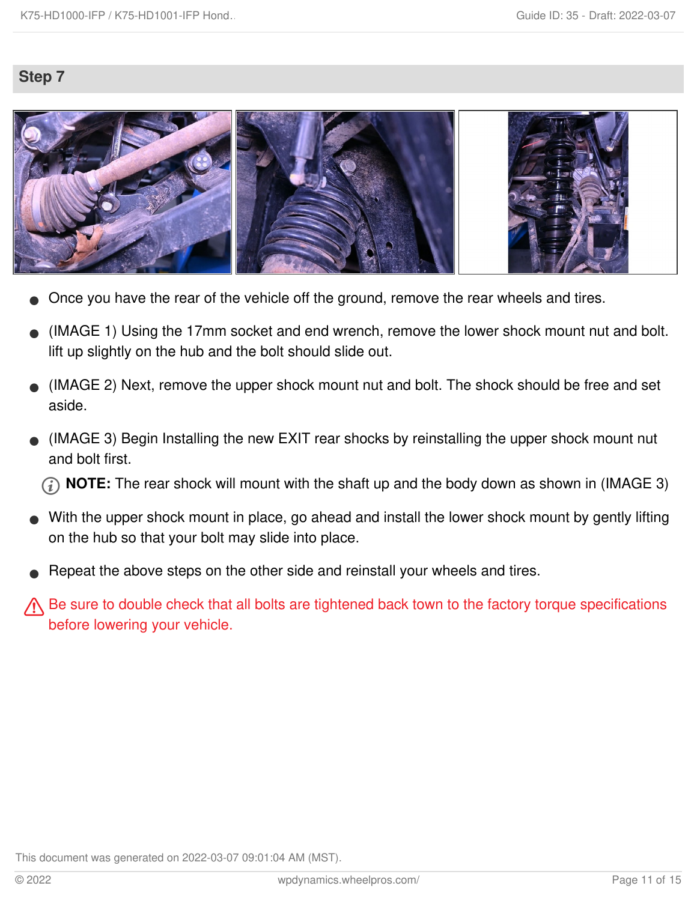### **Step 7**



- Once you have the rear of the vehicle off the ground, remove the rear wheels and tires.
- (IMAGE 1) Using the 17mm socket and end wrench, remove the lower shock mount nut and bolt. lift up slightly on the hub and the bolt should slide out.  $\bullet$
- (IMAGE 2) Next, remove the upper shock mount nut and bolt. The shock should be free and set aside.  $\bullet$
- (IMAGE 3) Begin Installing the new EXIT rear shocks by reinstalling the upper shock mount nut and bolt first.  $\bullet$

**NOTE:** The rear shock will mount with the shaft up and the body down as shown in (IMAGE 3)

- With the upper shock mount in place, go ahead and install the lower shock mount by gently lifting on the hub so that your bolt may slide into place.  $\bullet$
- Repeat the above steps on the other side and reinstall your wheels and tires.
- **A** Be sure to double check that all bolts are tightened back town to the factory torque specifications before lowering your vehicle.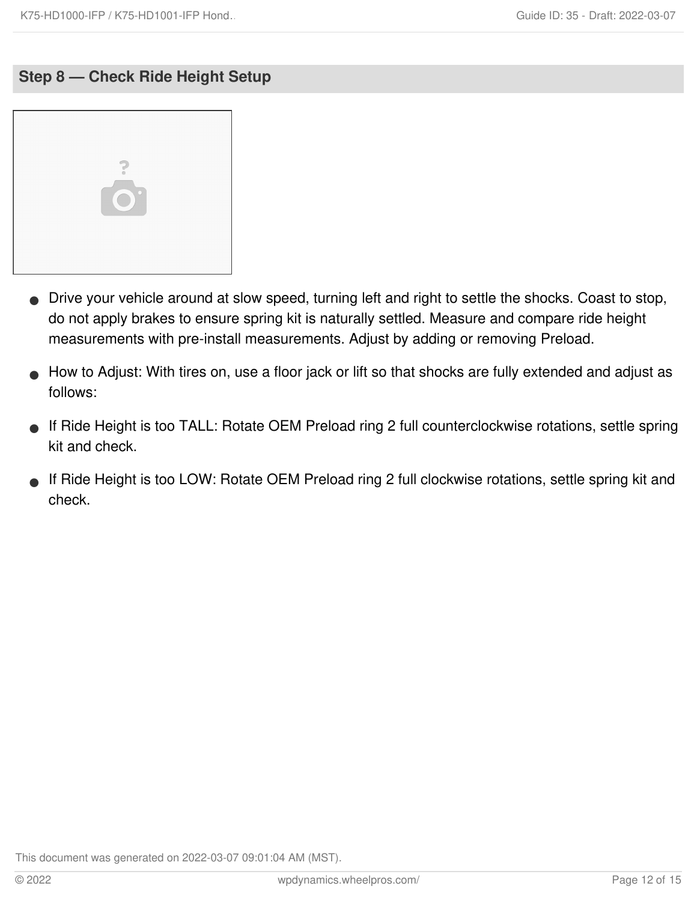### **Step 8 — Check Ride Height Setup**



- Drive your vehicle around at slow speed, turning left and right to settle the shocks. Coast to stop, do not apply brakes to ensure spring kit is naturally settled. Measure and compare ride height measurements with pre-install measurements. Adjust by adding or removing Preload.  $\bullet$
- How to Adjust: With tires on, use a floor jack or lift so that shocks are fully extended and adjust as follows:  $\bullet$
- If Ride Height is too TALL: Rotate OEM Preload ring 2 full counterclockwise rotations, settle spring kit and check.  $\bullet$
- If Ride Height is too LOW: Rotate OEM Preload ring 2 full clockwise rotations, settle spring kit and check.  $\bullet$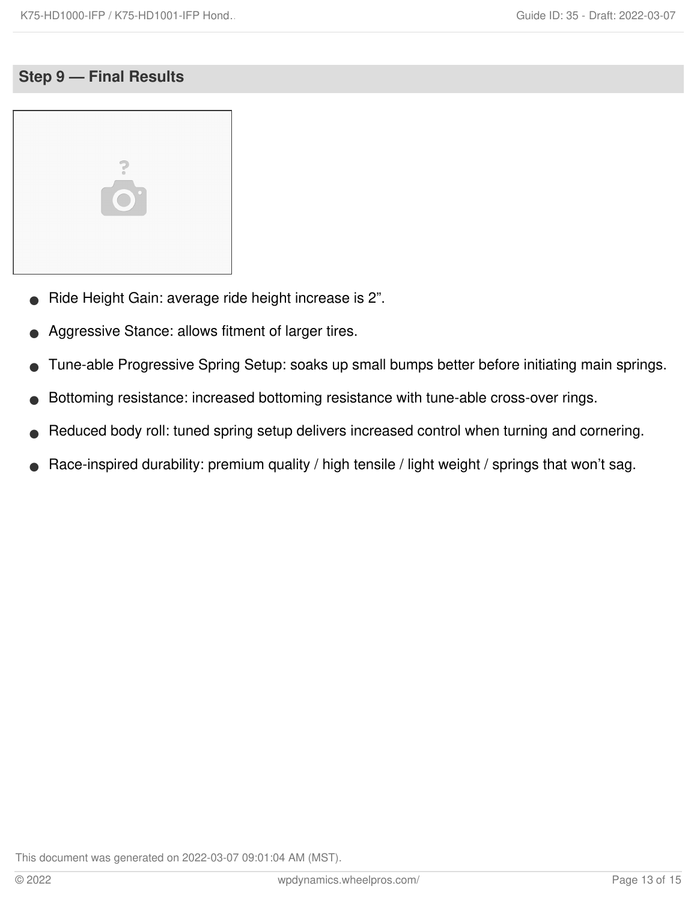### **Step 9 — Final Results**



- Ride Height Gain: average ride height increase is 2".
- Aggressive Stance: allows fitment of larger tires.
- Tune-able Progressive Spring Setup: soaks up small bumps better before initiating main springs.
- Bottoming resistance: increased bottoming resistance with tune-able cross-over rings.
- Reduced body roll: tuned spring setup delivers increased control when turning and cornering.
- Race-inspired durability: premium quality / high tensile / light weight / springs that won't sag.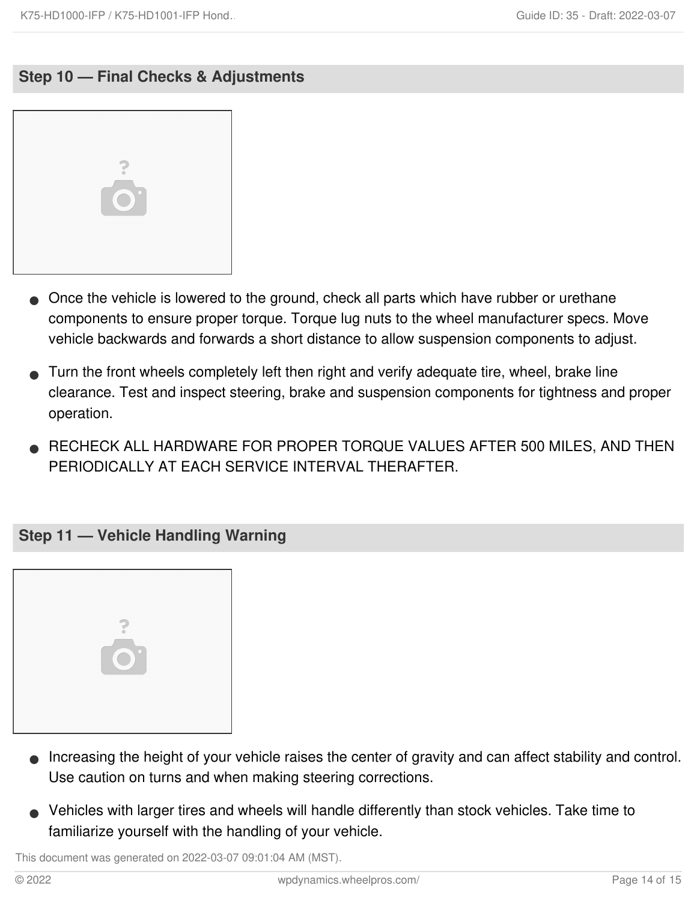### **Step 10 — Final Checks & Adjustments**



- Once the vehicle is lowered to the ground, check all parts which have rubber or urethane components to ensure proper torque. Torque lug nuts to the wheel manufacturer specs. Move vehicle backwards and forwards a short distance to allow suspension components to adjust.
- Turn the front wheels completely left then right and verify adequate tire, wheel, brake line clearance. Test and inspect steering, brake and suspension components for tightness and proper operation.  $\bullet$
- RECHECK ALL HARDWARE FOR PROPER TORQUE VALUES AFTER 500 MILES, AND THEN PERIODICALLY AT EACH SERVICE INTERVAL THERAFTER.  $\bullet$

#### **Step 11 — Vehicle Handling Warning**



- **Increasing the height of your vehicle raises the center of gravity and can affect stability and control.** Use caution on turns and when making steering corrections.
- Vehicles with larger tires and wheels will handle differently than stock vehicles. Take time to familiarize yourself with the handling of your vehicle.